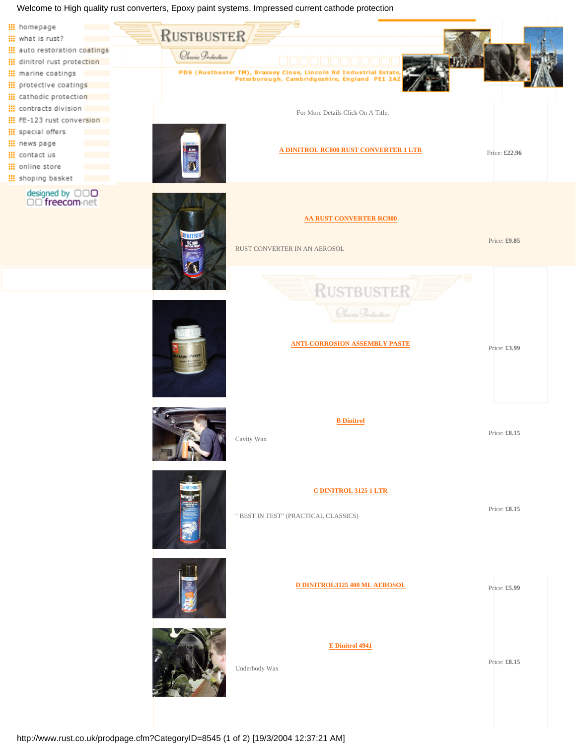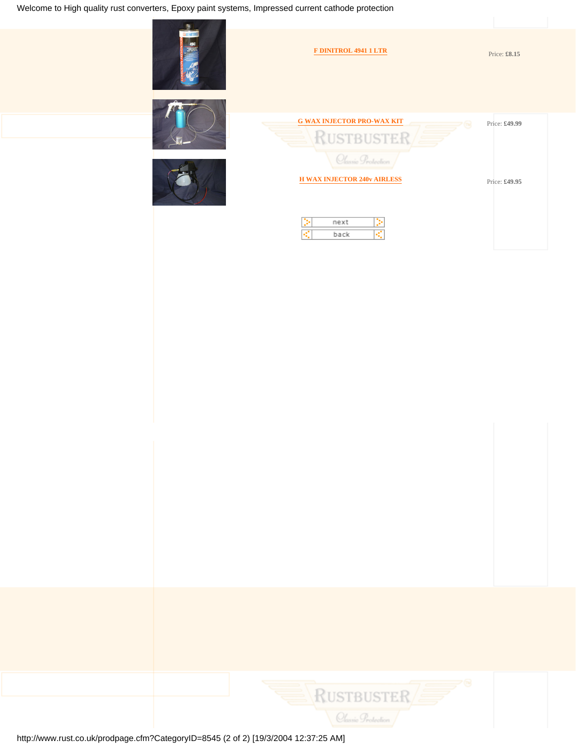

**[G WAX INJECTOR PRO-WAX KIT](#page-7-0)** Price: £49.99 **RUSTBUSTER** Classic Protection **[H WAX INJECTOR 240v AIRLESS](#page-8-0)** Price: £49.95 Þ next Þ R. back K

**[F DINITROL 4941 1 LTR](#page-6-0)** Price: **£8.15** 



http://www.rust.co.uk/prodpage.cfm?CategoryID=8545 (2 of 2) [19/3/2004 12:37:25 AM]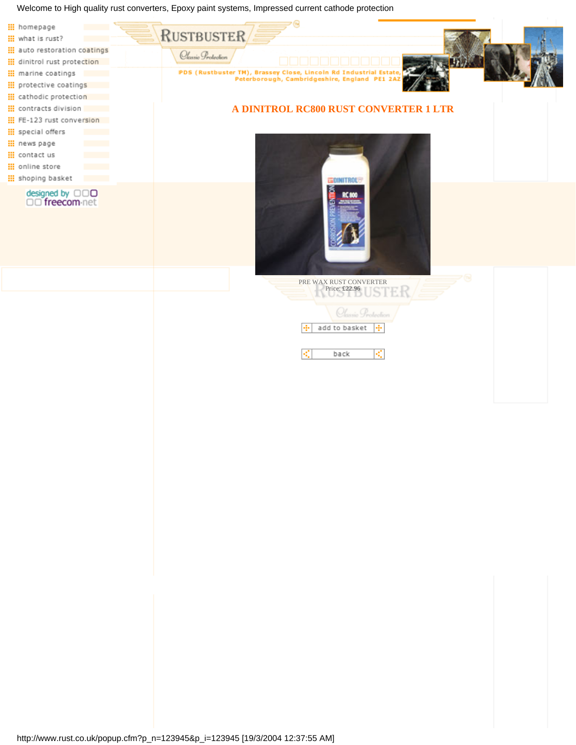<span id="page-2-0"></span>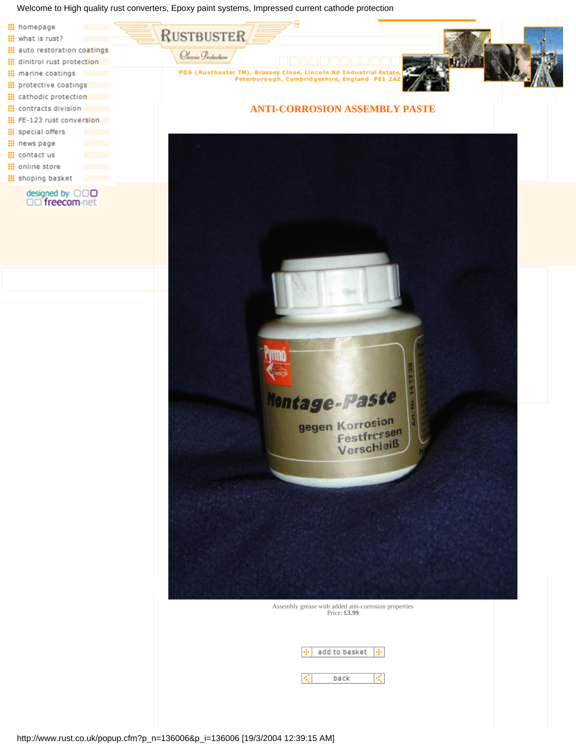<span id="page-3-0"></span>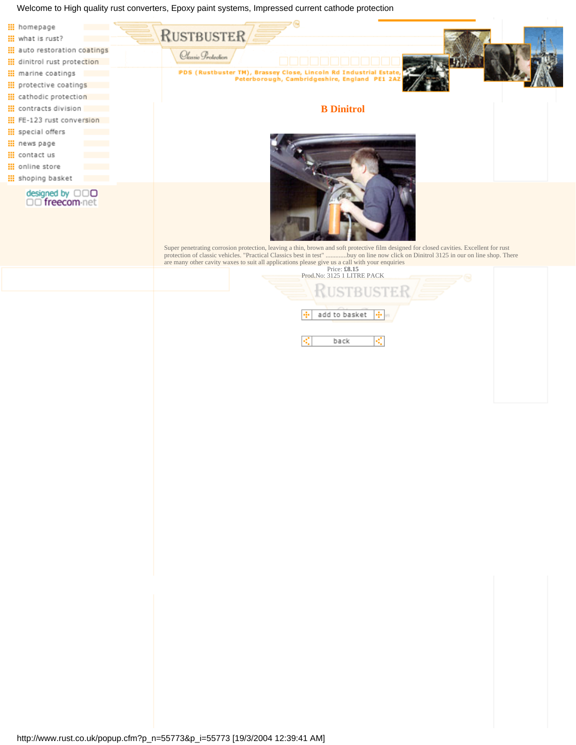<span id="page-4-0"></span>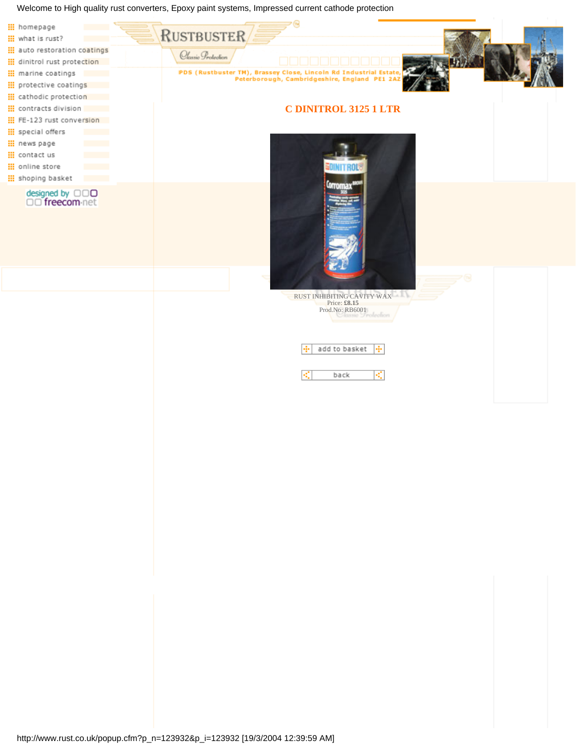<span id="page-5-0"></span>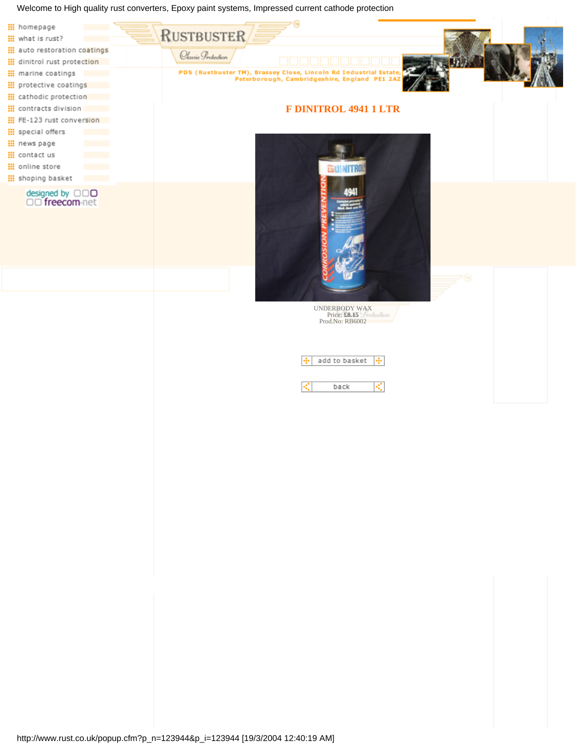<span id="page-6-0"></span>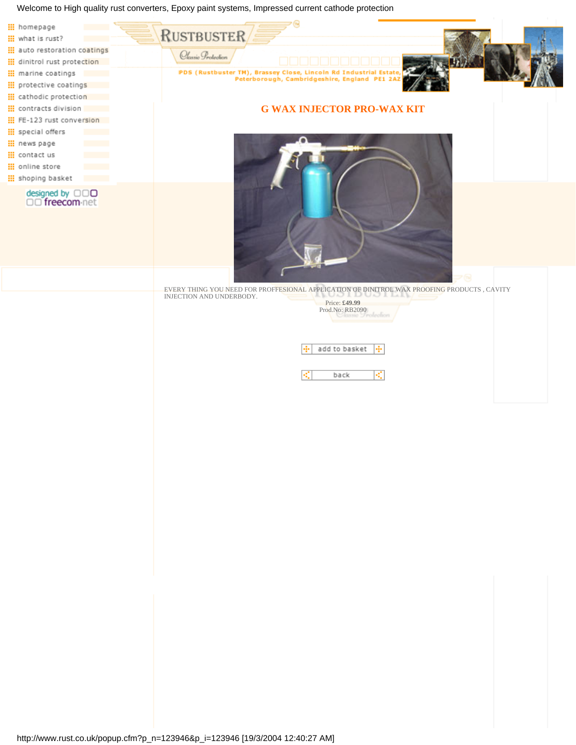<span id="page-7-0"></span>